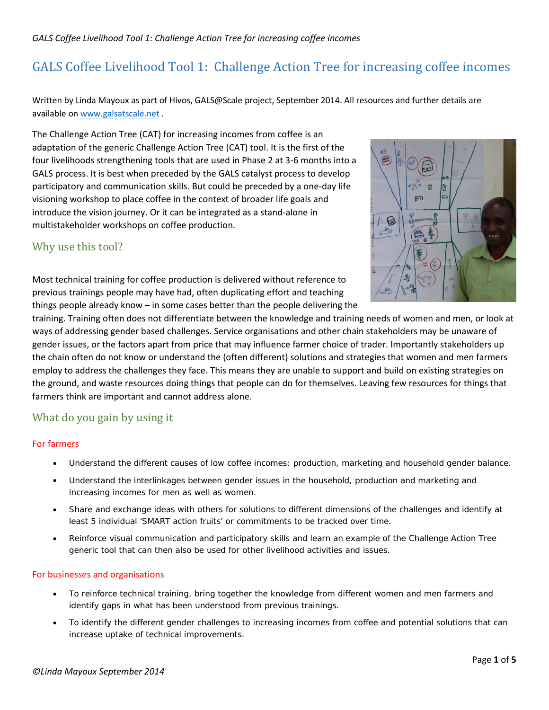Written by Linda Mayoux as part of Hivos, GALS@Scale project, September 2014. All resources and further details are available o[n www.galsatscale.net](http://www.galsatscale.net/) .

The Challenge Action Tree (CAT) for increasing incomes from coffee is an adaptation of the generic Challenge Action Tree (CAT) tool. It is the first of the four livelihoods strengthening tools that are used in Phase 2 at 3-6 months into a GALS process. It is best when preceded by the GALS catalyst process to develop participatory and communication skills. But could be preceded by a one-day life visioning workshop to place coffee in the context of broader life goals and introduce the vision journey. Or it can be integrated as a stand-alone in multistakeholder workshops on coffee production.

# Why use this tool?



Most technical training for coffee production is delivered without reference to previous trainings people may have had, often duplicating effort and teaching things people already know – in some cases better than the people delivering the

training. Training often does not differentiate between the knowledge and training needs of women and men, or look at ways of addressing gender based challenges. Service organisations and other chain stakeholders may be unaware of gender issues, or the factors apart from price that may influence farmer choice of trader. Importantly stakeholders up the chain often do not know or understand the (often different) solutions and strategies that women and men farmers employ to address the challenges they face. This means they are unable to support and build on existing strategies on the ground, and waste resources doing things that people can do for themselves. Leaving few resources for things that farmers think are important and cannot address alone.

# What do you gain by using it

#### For farmers

- Understand the different causes of low coffee incomes: production, marketing and household gender balance.
- Understand the interlinkages between gender issues in the household, production and marketing and increasing incomes for men as well as women.
- Share and exchange ideas with others for solutions to different dimensions of the challenges and identify at least 5 individual 'SMART action fruits' or commitments to be tracked over time.
- Reinforce visual communication and participatory skills and learn an example of the Challenge Action Tree generic tool that can then also be used for other livelihood activities and issues.

#### For businesses and organisations

- To reinforce technical training, bring together the knowledge from different women and men farmers and identify gaps in what has been understood from previous trainings.
- To identify the different gender challenges to increasing incomes from coffee and potential solutions that can increase uptake of technical improvements.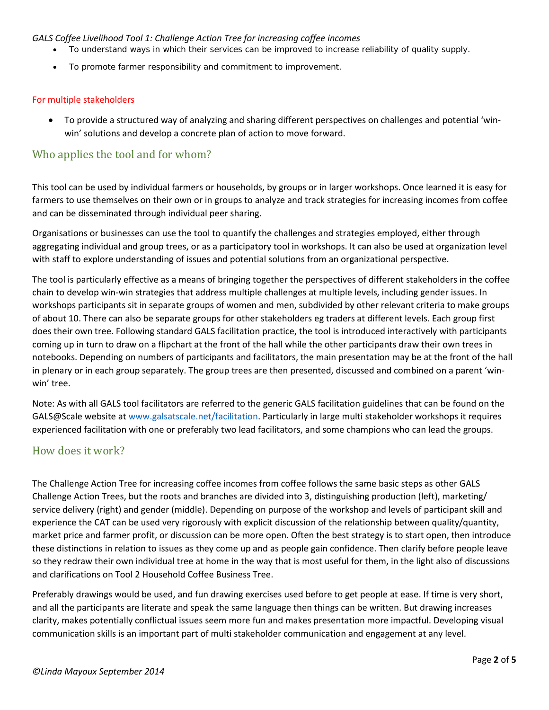- To understand ways in which their services can be improved to increase reliability of quality supply.
- To promote farmer responsibility and commitment to improvement.

#### For multiple stakeholders

• To provide a structured way of analyzing and sharing different perspectives on challenges and potential 'winwin' solutions and develop a concrete plan of action to move forward.

## Who applies the tool and for whom?

This tool can be used by individual farmers or households, by groups or in larger workshops. Once learned it is easy for farmers to use themselves on their own or in groups to analyze and track strategies for increasing incomes from coffee and can be disseminated through individual peer sharing.

Organisations or businesses can use the tool to quantify the challenges and strategies employed, either through aggregating individual and group trees, or as a participatory tool in workshops. It can also be used at organization level with staff to explore understanding of issues and potential solutions from an organizational perspective.

The tool is particularly effective as a means of bringing together the perspectives of different stakeholders in the coffee chain to develop win-win strategies that address multiple challenges at multiple levels, including gender issues. In workshops participants sit in separate groups of women and men, subdivided by other relevant criteria to make groups of about 10. There can also be separate groups for other stakeholders eg traders at different levels. Each group first does their own tree. Following standard GALS facilitation practice, the tool is introduced interactively with participants coming up in turn to draw on a flipchart at the front of the hall while the other participants draw their own trees in notebooks. Depending on numbers of participants and facilitators, the main presentation may be at the front of the hall in plenary or in each group separately. The group trees are then presented, discussed and combined on a parent 'winwin' tree.

Note: As with all GALS tool facilitators are referred to the generic GALS facilitation guidelines that can be found on the GALS@Scale website at [www.galsatscale.net/facilitation.](http://www.galsatscale.net/facilitation) Particularly in large multi stakeholder workshops it requires experienced facilitation with one or preferably two lead facilitators, and some champions who can lead the groups.

### How does it work?

The Challenge Action Tree for increasing coffee incomes from coffee follows the same basic steps as other GALS Challenge Action Trees, but the roots and branches are divided into 3, distinguishing production (left), marketing/ service delivery (right) and gender (middle). Depending on purpose of the workshop and levels of participant skill and experience the CAT can be used very rigorously with explicit discussion of the relationship between quality/quantity, market price and farmer profit, or discussion can be more open. Often the best strategy is to start open, then introduce these distinctions in relation to issues as they come up and as people gain confidence. Then clarify before people leave so they redraw their own individual tree at home in the way that is most useful for them, in the light also of discussions and clarifications on Tool 2 Household Coffee Business Tree.

Preferably drawings would be used, and fun drawing exercises used before to get people at ease. If time is very short, and all the participants are literate and speak the same language then things can be written. But drawing increases clarity, makes potentially conflictual issues seem more fun and makes presentation more impactful. Developing visual communication skills is an important part of multi stakeholder communication and engagement at any level.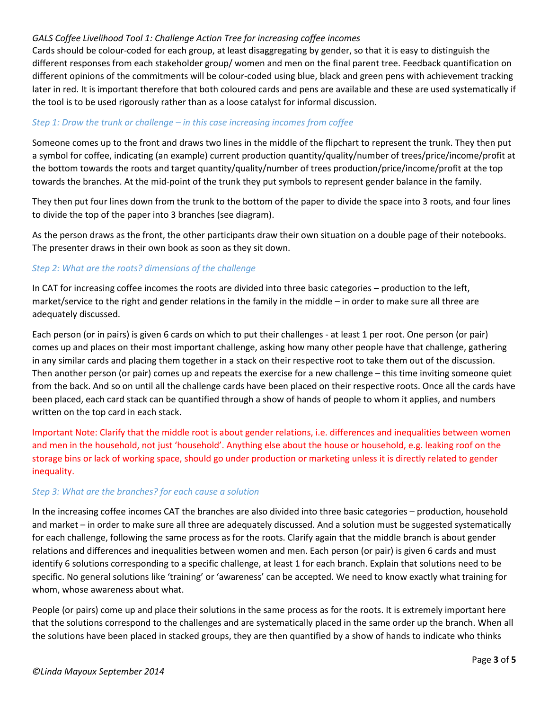Cards should be colour-coded for each group, at least disaggregating by gender, so that it is easy to distinguish the different responses from each stakeholder group/ women and men on the final parent tree. Feedback quantification on different opinions of the commitments will be colour-coded using blue, black and green pens with achievement tracking later in red. It is important therefore that both coloured cards and pens are available and these are used systematically if the tool is to be used rigorously rather than as a loose catalyst for informal discussion.

#### *Step 1: Draw the trunk or challenge – in this case increasing incomes from coffee*

Someone comes up to the front and draws two lines in the middle of the flipchart to represent the trunk. They then put a symbol for coffee, indicating (an example) current production quantity/quality/number of trees/price/income/profit at the bottom towards the roots and target quantity/quality/number of trees production/price/income/profit at the top towards the branches. At the mid-point of the trunk they put symbols to represent gender balance in the family.

They then put four lines down from the trunk to the bottom of the paper to divide the space into 3 roots, and four lines to divide the top of the paper into 3 branches (see diagram).

As the person draws as the front, the other participants draw their own situation on a double page of their notebooks. The presenter draws in their own book as soon as they sit down.

#### *Step 2: What are the roots? dimensions of the challenge*

In CAT for increasing coffee incomes the roots are divided into three basic categories – production to the left, market/service to the right and gender relations in the family in the middle – in order to make sure all three are adequately discussed.

Each person (or in pairs) is given 6 cards on which to put their challenges - at least 1 per root. One person (or pair) comes up and places on their most important challenge, asking how many other people have that challenge, gathering in any similar cards and placing them together in a stack on their respective root to take them out of the discussion. Then another person (or pair) comes up and repeats the exercise for a new challenge – this time inviting someone quiet from the back. And so on until all the challenge cards have been placed on their respective roots. Once all the cards have been placed, each card stack can be quantified through a show of hands of people to whom it applies, and numbers written on the top card in each stack.

Important Note: Clarify that the middle root is about gender relations, i.e. differences and inequalities between women and men in the household, not just 'household'. Anything else about the house or household, e.g. leaking roof on the storage bins or lack of working space, should go under production or marketing unless it is directly related to gender inequality.

#### *Step 3: What are the branches? for each cause a solution*

In the increasing coffee incomes CAT the branches are also divided into three basic categories – production, household and market – in order to make sure all three are adequately discussed. And a solution must be suggested systematically for each challenge, following the same process as for the roots. Clarify again that the middle branch is about gender relations and differences and inequalities between women and men. Each person (or pair) is given 6 cards and must identify 6 solutions corresponding to a specific challenge, at least 1 for each branch. Explain that solutions need to be specific. No general solutions like 'training' or 'awareness' can be accepted. We need to know exactly what training for whom, whose awareness about what.

People (or pairs) come up and place their solutions in the same process as for the roots. It is extremely important here that the solutions correspond to the challenges and are systematically placed in the same order up the branch. When all the solutions have been placed in stacked groups, they are then quantified by a show of hands to indicate who thinks